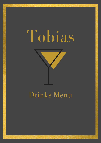# Tobias



# Drinks Menu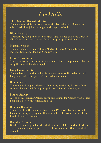#### *Cocktails*

The Original Bacardi Mojito The delicious original classic, made with Bacardi Carta Blanca rum, mint, fresh lime juice and sugar with a spritz of soda.

Blue Hawaiian A refreshing rum punch with Bacardi Carta Blanca and Blue Curacao, all balanced with the vibrant flavours of pineapple and lime.

Martini Negroni The most iconic Italian cocktail. Martini Riserva Speciale Rubino, Martini Bitter, and Bombay Sapphire Gin.

Floral Gin&Tonic Sweet and fresh, a blend of mint and elderflower complimented by the crisp flavours of Bombay Sapphire.

Grey Goose Le Fizz The modern classic that is Le Fizz - Grey Goose vodka balanced and lengthened with lime juice, St Germaine and soda.

Banana Colada The renowned tropical classic with a twist, combining Patron Silver, coconut, banana and fresh pineapple juice. Served over long ice.

Patron Stormy A long drink, starring Patron Silver and lemon, lengthened with Ginger Beer for a powerfully refreshing kick.

Bombay Bramble Simple twist on the modern classic from 1984 with freshly pressed lemon juice, sugar syrup and the inherent fruit flavours found at the heart of Bombay Bramble.

Bramble & Sonic

Bombay Bramble provides the ideal base for a lighter option. In the mix with tonic and soda the perfect refreshing drink, less than 1 unit of alcohol.